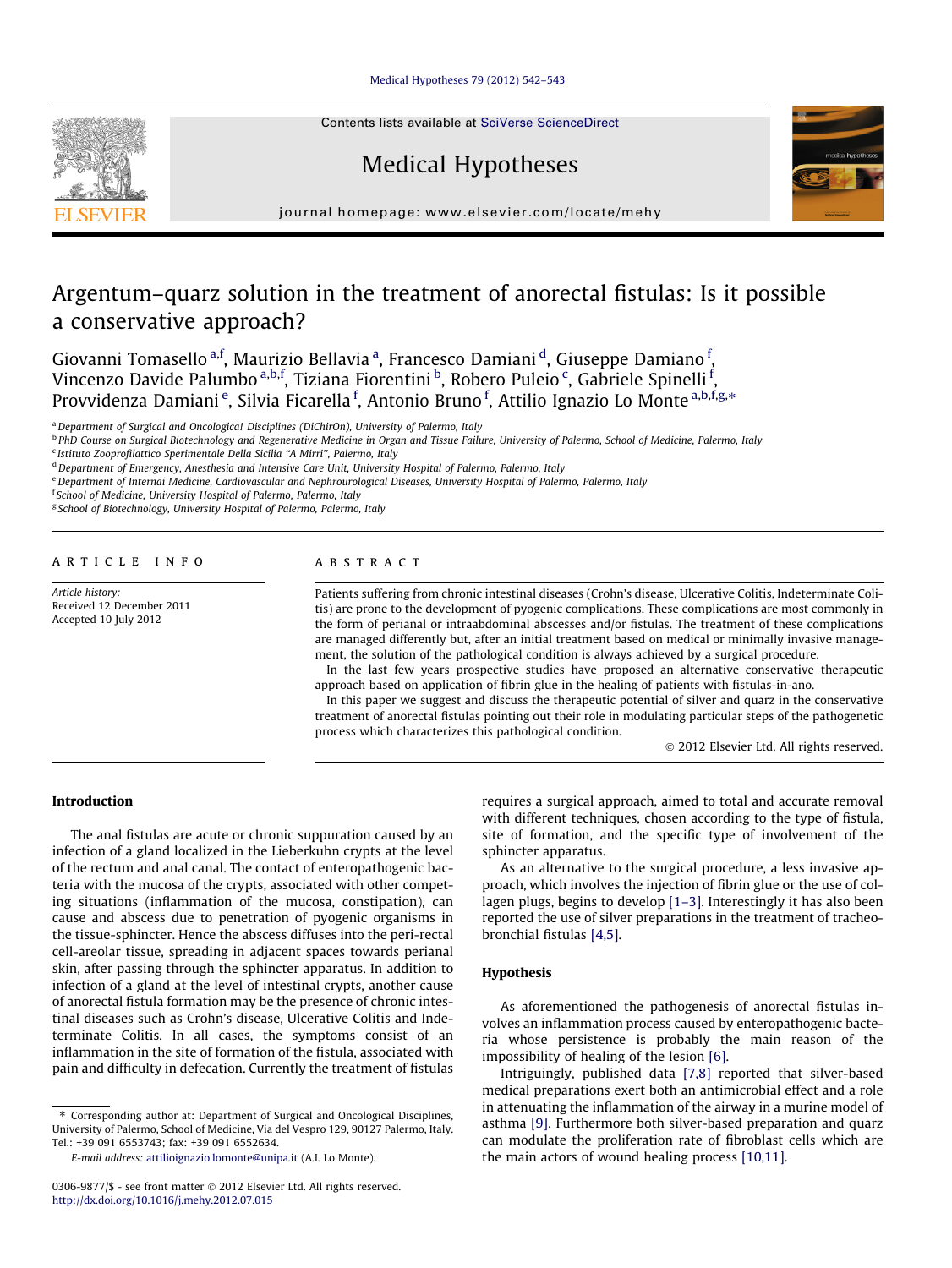#### [Medical Hypotheses 79 \(2012\) 542–543](http://dx.doi.org/10.1016/j.mehy.2012.07.015)



# Medical Hypotheses



journal homepage: [www.elsevier.com/locate/mehy](http://www.elsevier.com/locate/mehy)

# Argentum–quarz solution in the treatment of anorectal fistulas: Is it possible a conservative approach?

Giovanni Tomasello <sup>a,f</sup>, Maurizio Bellavia <sup>a</sup>, Francesco Damiani <sup>d</sup>, Giuseppe Damiano <sup>f</sup>, Vincenzo Davide Palumbo <sup>a,b,f</sup>, Tiziana Fiorentini <sup>b</sup>, Robero Puleio <sup>c</sup>, Gabriele Spinelli <sup>f</sup>, Provvidenza Damiani <sup>e</sup>, Silvia Ficarella <sup>f</sup>, Antonio Bruno <sup>f</sup>, Attilio Ignazio Lo Monte <sup>a,b,f,g,</sup>\*

<sup>a</sup> Department of Surgical and Oncologica! Disciplines (DiChirOn), University of Palermo, Italy

<sup>b</sup> PhD Course on Surgical Biotechnology and Regenerative Medicine in Organ and Tissue Failure, University of Palermo, School of Medicine, Palermo, Italy

<sup>c</sup> Istituto Zooprofilattico Sperimentale Della Sicilia ''A Mirri'', Palermo, Italy

e Department of Internai Medicine, Cardiovascular and Nephrourological Diseases, University Hospital of Palermo, Palermo, Italy

f School of Medicine, University Hospital of Palermo, Palermo, Italy

<sup>g</sup> School of Biotechnology, University Hospital of Palermo, Palermo, Italy

article info

Article history: Received 12 December 2011 Accepted 10 July 2012

#### **ABSTRACT**

Patients suffering from chronic intestinal diseases (Crohn's disease, Ulcerative Colitis, Indeterminate Colitis) are prone to the development of pyogenic complications. These complications are most commonly in the form of perianal or intraabdominal abscesses and/or fistulas. The treatment of these complications are managed differently but, after an initial treatment based on medical or minimally invasive management, the solution of the pathological condition is always achieved by a surgical procedure.

In the last few years prospective studies have proposed an alternative conservative therapeutic approach based on application of fibrin glue in the healing of patients with fistulas-in-ano.

In this paper we suggest and discuss the therapeutic potential of silver and quarz in the conservative treatment of anorectal fistulas pointing out their role in modulating particular steps of the pathogenetic process which characterizes this pathological condition.

- 2012 Elsevier Ltd. All rights reserved.

## Introduction

The anal fistulas are acute or chronic suppuration caused by an infection of a gland localized in the Lieberkuhn crypts at the level of the rectum and anal canal. The contact of enteropathogenic bacteria with the mucosa of the crypts, associated with other competing situations (inflammation of the mucosa, constipation), can cause and abscess due to penetration of pyogenic organisms in the tissue-sphincter. Hence the abscess diffuses into the peri-rectal cell-areolar tissue, spreading in adjacent spaces towards perianal skin, after passing through the sphincter apparatus. In addition to infection of a gland at the level of intestinal crypts, another cause of anorectal fistula formation may be the presence of chronic intestinal diseases such as Crohn's disease, Ulcerative Colitis and Indeterminate Colitis. In all cases, the symptoms consist of an inflammation in the site of formation of the fistula, associated with pain and difficulty in defecation. Currently the treatment of fistulas

⇑ Corresponding author at: Department of Surgical and Oncological Disciplines, University of Palermo, School of Medicine, Via del Vespro 129, 90127 Palermo, Italy. Tel.: +39 091 6553743; fax: +39 091 6552634.

E-mail address: [attilioignazio.lomonte@unipa.it](mailto:attilioignazio.lomonte@unipa.it) (A.I. Lo Monte).

requires a surgical approach, aimed to total and accurate removal with different techniques, chosen according to the type of fistula, site of formation, and the specific type of involvement of the sphincter apparatus.

As an alternative to the surgical procedure, a less invasive approach, which involves the injection of fibrin glue or the use of collagen plugs, begins to develop [\[1–3\].](#page-1-0) Interestingly it has also been reported the use of silver preparations in the treatment of tracheobronchial fistulas [\[4,5\]](#page-1-0).

#### Hypothesis

As aforementioned the pathogenesis of anorectal fistulas involves an inflammation process caused by enteropathogenic bacteria whose persistence is probably the main reason of the impossibility of healing of the lesion [\[6\]](#page-1-0).

Intriguingly, published data [\[7,8\]](#page-1-0) reported that silver-based medical preparations exert both an antimicrobial effect and a role in attenuating the inflammation of the airway in a murine model of asthma [\[9\]](#page-1-0). Furthermore both silver-based preparation and quarz can modulate the proliferation rate of fibroblast cells which are the main actors of wound healing process [\[10,11\].](#page-1-0)

<sup>&</sup>lt;sup>d</sup> Department of Emergency, Anesthesia and Intensive Care Unit, University Hospital of Palermo, Palermo, Italy

<sup>0306-9877/\$ -</sup> see front matter © 2012 Elsevier Ltd. All rights reserved. <http://dx.doi.org/10.1016/j.mehy.2012.07.015>